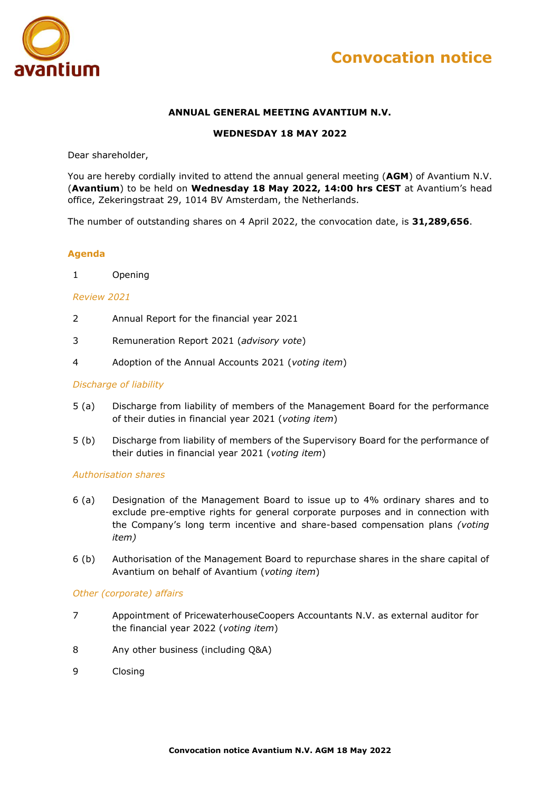



# **ANNUAL GENERAL MEETING AVANTIUM N.V.**

#### **WEDNESDAY 18 MAY 2022**

Dear shareholder,

You are hereby cordially invited to attend the annual general meeting (**AGM**) of Avantium N.V. (**Avantium**) to be held on **Wednesday 18 May 2022, 14:00 hrs CEST** at Avantium's head office, Zekeringstraat 29, 1014 BV Amsterdam, the Netherlands.

The number of outstanding shares on 4 April 2022, the convocation date, is **31,289,656**.

#### **Agenda**

1 Opening

#### *Review 2021*

- 2 Annual Report for the financial year 2021
- 3 Remuneration Report 2021 (*advisory vote*)
- 4 Adoption of the Annual Accounts 2021 (*voting item*)

#### *Discharge of liability*

- 5 (a) Discharge from liability of members of the Management Board for the performance of their duties in financial year 2021 (*voting item*)
- 5 (b) Discharge from liability of members of the Supervisory Board for the performance of their duties in financial year 2021 (*voting item*)

#### *Authorisation shares*

- 6 (a) Designation of the Management Board to issue up to 4% ordinary shares and to exclude pre-emptive rights for general corporate purposes and in connection with the Company's long term incentive and share-based compensation plans *(voting item)*
- 6 (b) Authorisation of the Management Board to repurchase shares in the share capital of Avantium on behalf of Avantium (*voting item*)

#### *Other (corporate) affairs*

- 7 Appointment of PricewaterhouseCoopers Accountants N.V. as external auditor for the financial year 2022 (*voting item*)
- 8 Any other business (including Q&A)
- 9 Closing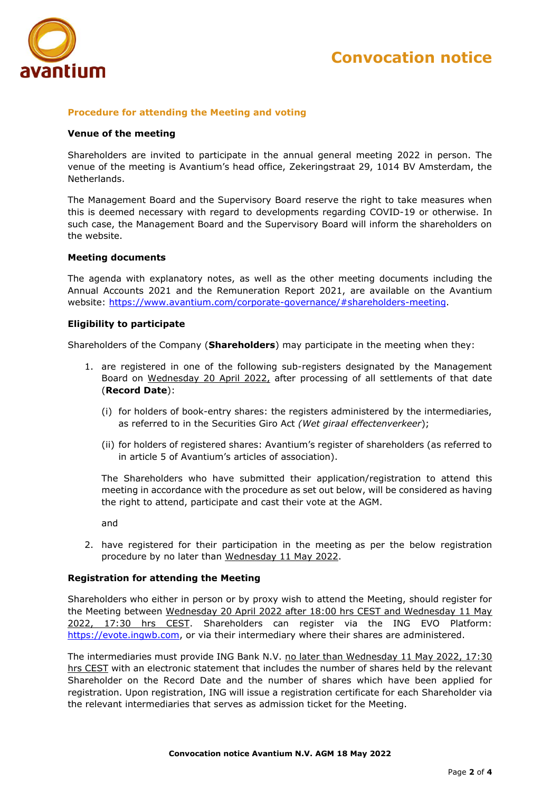

### **Procedure for attending the Meeting and voting**

#### **Venue of the meeting**

Shareholders are invited to participate in the annual general meeting 2022 in person. The venue of the meeting is Avantium's head office, Zekeringstraat 29, 1014 BV Amsterdam, the Netherlands.

The Management Board and the Supervisory Board reserve the right to take measures when this is deemed necessary with regard to developments regarding COVID-19 or otherwise. In such case, the Management Board and the Supervisory Board will inform the shareholders on the website.

#### **Meeting documents**

The agenda with explanatory notes, as well as the other meeting documents including the Annual Accounts 2021 and the Remuneration Report 2021, are available on the Avantium website: [https://www.avantium.com/corporate-governance/#shareholders-meeting.](https://www.avantium.com/corporate-governance/#shareholders-meeting)

#### **Eligibility to participate**

Shareholders of the Company (**Shareholders**) may participate in the meeting when they:

- 1. are registered in one of the following sub-registers designated by the Management Board on Wednesday 20 April 2022, after processing of all settlements of that date (**Record Date**):
	- (i) for holders of book-entry shares: the registers administered by the intermediaries, as referred to in the Securities Giro Act *(Wet giraal effectenverkeer*);
	- (ii) for holders of registered shares: Avantium's register of shareholders (as referred to in article 5 of Avantium's articles of association).

The Shareholders who have submitted their application/registration to attend this meeting in accordance with the procedure as set out below, will be considered as having the right to attend, participate and cast their vote at the AGM.

and

2. have registered for their participation in the meeting as per the below registration procedure by no later than Wednesday 11 May 2022.

#### **Registration for attending the Meeting**

Shareholders who either in person or by proxy wish to attend the Meeting, should register for the Meeting between Wednesday 20 April 2022 after 18:00 hrs CEST and Wednesday 11 May 2022, 17:30 hrs CEST. Shareholders can register via the ING EVO Platform: [https://evote.ingwb.com,](https://evote.ingwb.com/) or via their intermediary where their shares are administered.

The intermediaries must provide ING Bank N.V. no later than Wednesday 11 May 2022, 17:30 hrs CEST with an electronic statement that includes the number of shares held by the relevant Shareholder on the Record Date and the number of shares which have been applied for registration. Upon registration, ING will issue a registration certificate for each Shareholder via the relevant intermediaries that serves as admission ticket for the Meeting.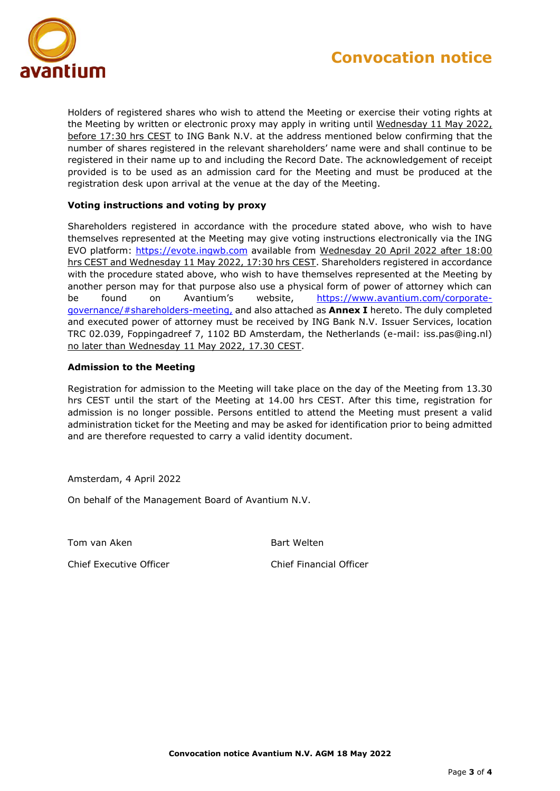

Holders of registered shares who wish to attend the Meeting or exercise their voting rights at the Meeting by written or electronic proxy may apply in writing until Wednesday 11 May 2022, before 17:30 hrs CEST to ING Bank N.V. at the address mentioned below confirming that the number of shares registered in the relevant shareholders' name were and shall continue to be registered in their name up to and including the Record Date. The acknowledgement of receipt provided is to be used as an admission card for the Meeting and must be produced at the registration desk upon arrival at the venue at the day of the Meeting.

# **Voting instructions and voting by proxy**

Shareholders registered in accordance with the procedure stated above, who wish to have themselves represented at the Meeting may give voting instructions electronically via the ING EVO platform: [https://evote.ingwb.com](https://evote.ingwb.com/) available from Wednesday 20 April 2022 after 18:00 hrs CEST and Wednesday 11 May 2022, 17:30 hrs CEST. Shareholders registered in accordance with the procedure stated above, who wish to have themselves represented at the Meeting by another person may for that purpose also use a physical form of power of attorney which can be found on Avantium's website, [https://www.avantium.com/corporate](https://www.avantium.com/corporate-governance/#shareholders-meeting)[governance/#shareholders-meeting,](https://www.avantium.com/corporate-governance/#shareholders-meeting) and also attached as **Annex I** hereto. The duly completed and executed power of attorney must be received by ING Bank N.V. Issuer Services, location TRC 02.039, Foppingadreef 7, 1102 BD Amsterdam, the Netherlands (e-mail: iss.pas@ing.nl) no later than Wednesday 11 May 2022, 17.30 CEST.

# **Admission to the Meeting**

Registration for admission to the Meeting will take place on the day of the Meeting from 13.30 hrs CEST until the start of the Meeting at 14.00 hrs CEST. After this time, registration for admission is no longer possible. Persons entitled to attend the Meeting must present a valid administration ticket for the Meeting and may be asked for identification prior to being admitted and are therefore requested to carry a valid identity document.

Amsterdam, 4 April 2022

On behalf of the Management Board of Avantium N.V.

Tom van Aken aan die steun van Aken besteen besteen besteen besteen besteen besteen besteen besteen besteen be

Chief Executive Officer Chief Financial Officer